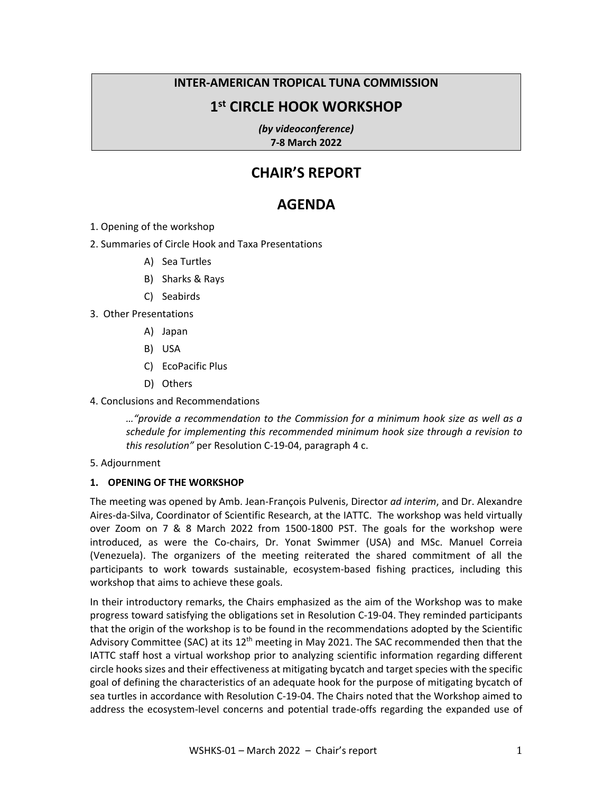# **INTER-AMERICAN TROPICAL TUNA COMMISSION**

# **1st CIRCLE HOOK WORKSHOP**

*(by videoconference)*  **7-8 March 2022** 

# **CHAIR'S REPORT**

# **AGENDA**

1. Opening of the workshop

2. Summaries of Circle Hook and Taxa Presentations

- A) Sea Turtles
- B) Sharks & Rays
- C) Seabirds
- 3. Other Presentations
	- A) Japan
	- B) USA
	- C) EcoPacific Plus
	- D) Others
- 4. Conclusions and Recommendations

*…"provide a recommendation to the Commission for a minimum hook size as well as a schedule for implementing this recommended minimum hook size through a revision to this resolution"* per Resolution C-19-04, paragraph 4 c.

5. Adjournment

## **1. OPENING OF THE WORKSHOP**

The meeting was opened by Amb. Jean-François Pulvenis, Director *ad interim*, and Dr. Alexandre Aires-da-Silva, Coordinator of Scientific Research, at the IATTC. The workshop was held virtually over Zoom on 7 & 8 March 2022 from 1500-1800 PST. The goals for the workshop were introduced, as were the Co-chairs, Dr. Yonat Swimmer (USA) and MSc. Manuel Correia (Venezuela). The organizers of the meeting reiterated the shared commitment of all the participants to work towards sustainable, ecosystem-based fishing practices, including this workshop that aims to achieve these goals.

In their introductory remarks, the Chairs emphasized as the aim of the Workshop was to make progress toward satisfying the obligations set in Resolution C-19-04. They reminded participants that the origin of the workshop is to be found in the recommendations adopted by the Scientific Advisory Committee (SAC) at its 12<sup>th</sup> meeting in May 2021. The SAC recommended then that the IATTC staff host a virtual workshop prior to analyzing scientific information regarding different circle hooks sizes and their effectiveness at mitigating bycatch and target species with the specific goal of defining the characteristics of an adequate hook for the purpose of mitigating bycatch of sea turtles in accordance with Resolution C-19-04. The Chairs noted that the Workshop aimed to address the ecosystem-level concerns and potential trade-offs regarding the expanded use of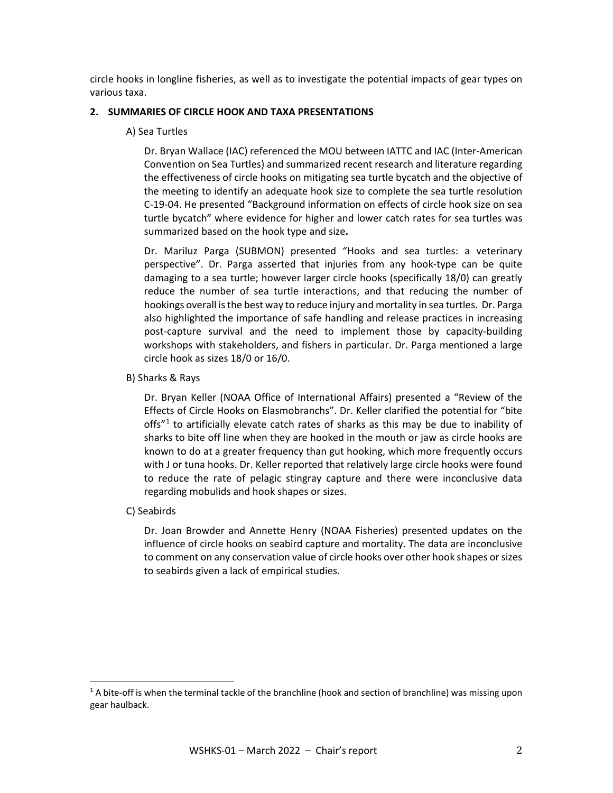circle hooks in longline fisheries, as well as to investigate the potential impacts of gear types on various taxa.

## **2. SUMMARIES OF CIRCLE HOOK AND TAXA PRESENTATIONS**

#### A) Sea Turtles

Dr. Bryan Wallace (IAC) referenced the MOU between IATTC and IAC (Inter-American Convention on Sea Turtles) and summarized recent research and literature regarding the effectiveness of circle hooks on mitigating sea turtle bycatch and the objective of the meeting to identify an adequate hook size to complete the sea turtle resolution C-19-04. He presented "Background information on effects of circle hook size on sea turtle bycatch" where evidence for higher and lower catch rates for sea turtles was summarized based on the hook type and size**.**

Dr. Mariluz Parga (SUBMON) presented "Hooks and sea turtles: a veterinary perspective". Dr. Parga asserted that injuries from any hook-type can be quite damaging to a sea turtle; however larger circle hooks (specifically 18/0) can greatly reduce the number of sea turtle interactions, and that reducing the number of hookings overall is the best way to reduce injury and mortality in sea turtles. Dr. Parga also highlighted the importance of safe handling and release practices in increasing post-capture survival and the need to implement those by capacity-building workshops with stakeholders, and fishers in particular. Dr. Parga mentioned a large circle hook as sizes 18/0 or 16/0.

B) Sharks & Rays

Dr. Bryan Keller (NOAA Office of International Affairs) presented a "Review of the Effects of Circle Hooks on Elasmobranchs". Dr. Keller clarified the potential for "bite offs"<sup>[1](#page-1-0)</sup> to artificially elevate catch rates of sharks as this may be due to inability of sharks to bite off line when they are hooked in the mouth or jaw as circle hooks are known to do at a greater frequency than gut hooking, which more frequently occurs with J or tuna hooks. Dr. Keller reported that relatively large circle hooks were found to reduce the rate of pelagic stingray capture and there were inconclusive data regarding mobulids and hook shapes or sizes.

C) Seabirds

Dr. Joan Browder and Annette Henry (NOAA Fisheries) presented updates on the influence of circle hooks on seabird capture and mortality. The data are inconclusive to comment on any conservation value of circle hooks over other hook shapes or sizes to seabirds given a lack of empirical studies.

<span id="page-1-0"></span> $1A$  bite-off is when the terminal tackle of the branchline (hook and section of branchline) was missing upon gear haulback.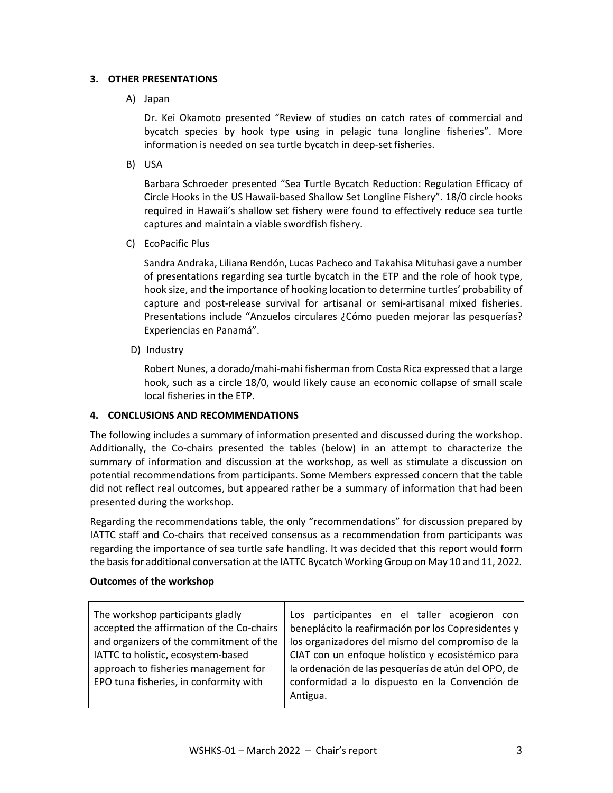# **3. OTHER PRESENTATIONS**

# A) Japan

Dr. Kei Okamoto presented "Review of studies on catch rates of commercial and bycatch species by hook type using in pelagic tuna longline fisheries". More information is needed on sea turtle bycatch in deep-set fisheries.

B) USA

Barbara Schroeder presented "Sea Turtle Bycatch Reduction: Regulation Efficacy of Circle Hooks in the US Hawaii-based Shallow Set Longline Fishery". 18/0 circle hooks required in Hawaii's shallow set fishery were found to effectively reduce sea turtle captures and maintain a viable swordfish fishery.

C) EcoPacific Plus

Sandra Andraka, Liliana Rendón, Lucas Pacheco and Takahisa Mituhasi gave a number of presentations regarding sea turtle bycatch in the ETP and the role of hook type, hook size, and the importance of hooking location to determine turtles' probability of capture and post-release survival for artisanal or semi-artisanal mixed fisheries. Presentations include "Anzuelos circulares ¿Cómo pueden mejorar las pesquerías? Experiencias en Panamá".

D) Industry

Robert Nunes, a dorado/mahi-mahi fisherman from Costa Rica expressed that a large hook, such as a circle 18/0, would likely cause an economic collapse of small scale local fisheries in the ETP.

## **4. CONCLUSIONS AND RECOMMENDATIONS**

The following includes a summary of information presented and discussed during the workshop. Additionally, the Co-chairs presented the tables (below) in an attempt to characterize the summary of information and discussion at the workshop, as well as stimulate a discussion on potential recommendations from participants. Some Members expressed concern that the table did not reflect real outcomes, but appeared rather be a summary of information that had been presented during the workshop.

Regarding the recommendations table, the only "recommendations" for discussion prepared by IATTC staff and Co-chairs that received consensus as a recommendation from participants was regarding the importance of sea turtle safe handling. It was decided that this report would form the basis for additional conversation at the IATTC Bycatch Working Group on May 10 and 11, 2022*.* 

## **Outcomes of the workshop**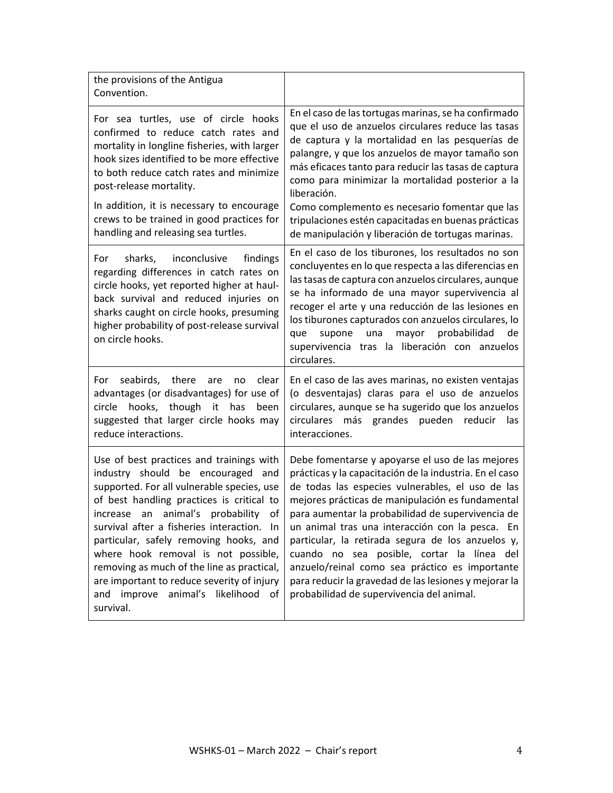| the provisions of the Antigua<br>Convention.                                                                                                                                                                                                                                                                                                                                                                                                                                                           |                                                                                                                                                                                                                                                                                                                                                                                                                                                                                                                                                                                        |
|--------------------------------------------------------------------------------------------------------------------------------------------------------------------------------------------------------------------------------------------------------------------------------------------------------------------------------------------------------------------------------------------------------------------------------------------------------------------------------------------------------|----------------------------------------------------------------------------------------------------------------------------------------------------------------------------------------------------------------------------------------------------------------------------------------------------------------------------------------------------------------------------------------------------------------------------------------------------------------------------------------------------------------------------------------------------------------------------------------|
| For sea turtles, use of circle hooks<br>confirmed to reduce catch rates and<br>mortality in longline fisheries, with larger<br>hook sizes identified to be more effective<br>to both reduce catch rates and minimize<br>post-release mortality.                                                                                                                                                                                                                                                        | En el caso de las tortugas marinas, se ha confirmado<br>que el uso de anzuelos circulares reduce las tasas<br>de captura y la mortalidad en las pesquerías de<br>palangre, y que los anzuelos de mayor tamaño son<br>más eficaces tanto para reducir las tasas de captura<br>como para minimizar la mortalidad posterior a la<br>liberación.                                                                                                                                                                                                                                           |
| In addition, it is necessary to encourage<br>crews to be trained in good practices for<br>handling and releasing sea turtles.                                                                                                                                                                                                                                                                                                                                                                          | Como complemento es necesario fomentar que las<br>tripulaciones estén capacitadas en buenas prácticas<br>de manipulación y liberación de tortugas marinas.                                                                                                                                                                                                                                                                                                                                                                                                                             |
| findings<br>sharks,<br>inconclusive<br>For<br>regarding differences in catch rates on<br>circle hooks, yet reported higher at haul-<br>back survival and reduced injuries on<br>sharks caught on circle hooks, presuming<br>higher probability of post-release survival<br>on circle hooks.                                                                                                                                                                                                            | En el caso de los tiburones, los resultados no son<br>concluyentes en lo que respecta a las diferencias en<br>las tasas de captura con anzuelos circulares, aunque<br>se ha informado de una mayor supervivencia al<br>recoger el arte y una reducción de las lesiones en<br>los tiburones capturados con anzuelos circulares, lo<br>probabilidad<br>supone<br>mayor<br>de<br>que<br>una<br>supervivencia tras la liberación con anzuelos<br>circulares.                                                                                                                               |
| seabirds, there<br>clear<br>For<br>are<br>no<br>advantages (or disadvantages) for use of<br>hooks, though<br>it<br>has<br>circle<br>been<br>suggested that larger circle hooks may<br>reduce interactions.                                                                                                                                                                                                                                                                                             | En el caso de las aves marinas, no existen ventajas<br>(o desventajas) claras para el uso de anzuelos<br>circulares, aunque se ha sugerido que los anzuelos<br>circulares<br>más grandes pueden reducir<br>las<br>interacciones.                                                                                                                                                                                                                                                                                                                                                       |
| Use of best practices and trainings with<br>industry should be encouraged and<br>supported. For all vulnerable species, use<br>of best handling practices is critical to<br>animal's probability<br>οf<br>increase<br>an<br>survival after a fisheries interaction. In<br>particular, safely removing hooks, and<br>where hook removal is not possible,<br>removing as much of the line as practical,<br>are important to reduce severity of injury<br>and improve animal's likelihood of<br>survival. | Debe fomentarse y apoyarse el uso de las mejores<br>prácticas y la capacitación de la industria. En el caso<br>de todas las especies vulnerables, el uso de las<br>mejores prácticas de manipulación es fundamental<br>para aumentar la probabilidad de supervivencia de<br>un animal tras una interacción con la pesca. En<br>particular, la retirada segura de los anzuelos y,<br>cuando no sea posible, cortar la línea del<br>anzuelo/reinal como sea práctico es importante<br>para reducir la gravedad de las lesiones y mejorar la<br>probabilidad de supervivencia del animal. |